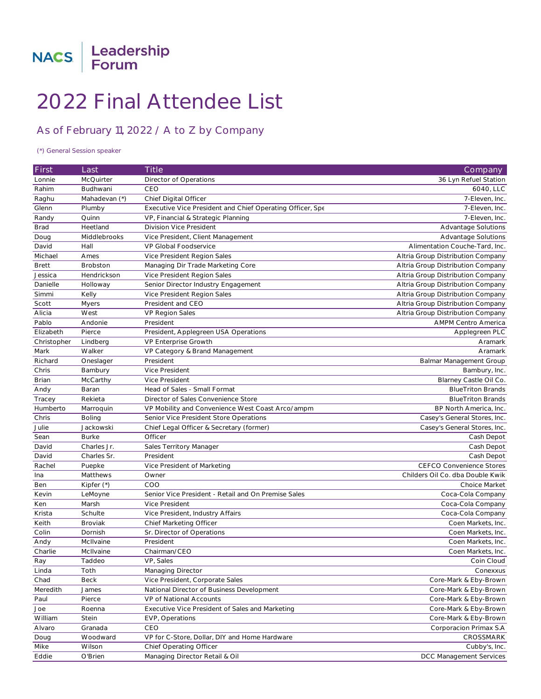

## 2022 Final Attendee List

## As of February 11, 2022 / **A to Z by Company**

## *(\*) General Session speaker*

| First        | Last             | <b>Title</b>                                              | Company                           |
|--------------|------------------|-----------------------------------------------------------|-----------------------------------|
| Lonnie       | <b>McQuirter</b> | Director of Operations                                    | 36 Lyn Refuel Station             |
| Rahim        | Budhwani         | CEO                                                       | 6040, LLC                         |
| Raghu        | Mahadevan (*)    | Chief Digital Officer                                     | 7-Eleven, Inc.                    |
| Glenn        | Plumby           | Executive Vice President and Chief Operating Officer, Spe | 7-Eleven, Inc.                    |
| Randy        | Quinn            | VP, Financial & Strategic Planning                        | 7-Eleven, Inc.                    |
| Brad         | Heetland         | Division Vice President                                   | Advantage Solutions               |
| Doug         | Middlebrooks     | Vice President, Client Management                         | Advantage Solutions               |
| David        | Hall             | VP Global Foodservice                                     | Alimentation Couche-Tard, Inc.    |
| Michael      | Ames             | Vice President Region Sales                               | Altria Group Distribution Company |
| <b>Brett</b> | <b>Brobston</b>  | Managing Dir Trade Marketing Core                         | Altria Group Distribution Company |
| Jessica      | Hendrickson      | Vice President Region Sales                               | Altria Group Distribution Company |
| Danielle     | Holloway         | Senior Director Industry Engagement                       | Altria Group Distribution Company |
| Simmi        | Kelly            | Vice President Region Sales                               | Altria Group Distribution Company |
| Scott        | Myers            | President and CEO                                         | Altria Group Distribution Company |
| Alicia       | West             | <b>VP Region Sales</b>                                    | Altria Group Distribution Company |
| Pablo        | Andonie          | President                                                 | <b>AMPM Centro America</b>        |
| Elizabeth    | Pierce           | President, Applegreen USA Operations                      | Applegreen PLC                    |
| Christopher  | Lindberg         | VP Enterprise Growth                                      | Aramark                           |
| Mark         | Walker           | VP Category & Brand Management                            | Aramark                           |
| Richard      | Oneslager        | President                                                 | Balmar Management Group           |
| Chris        | Bambury          | Vice President                                            | Bambury, Inc.                     |
| <b>Brian</b> | McCarthy         | Vice President                                            | Blarney Castle Oil Co.            |
| Andy         | Baran            | Head of Sales - Small Format                              | <b>BlueTriton Brands</b>          |
| Tracey       | Rekieta          | Director of Sales Convenience Store                       | <b>BlueTriton Brands</b>          |
| Humberto     | Marroquin        | VP Mobility and Convenience West Coast Arco/ampm          | BP North America, Inc.            |
| Chris        | Boling           | Senior Vice President Store Operations                    | Casey's General Stores, Inc.      |
| Julie        | Jackowski        | Chief Legal Officer & Secretary (former)                  | Casey's General Stores, Inc.      |
| Sean         | <b>Burke</b>     | Officer                                                   | Cash Depot                        |
| David        | Charles Jr.      | Sales Territory Manager                                   | Cash Depot                        |
| David        | Charles Sr.      | President                                                 | Cash Depot                        |
| Rachel       | Puepke           | Vice President of Marketing                               | <b>CEFCO Convenience Stores</b>   |
| Ina          | Matthews         | Owner                                                     | Childers Oil Co. dba Double Kwik  |
| Ben          | Kipfer $(*)$     | COO                                                       | Choice Market                     |
| Kevin        | LeMoyne          | Senior Vice President - Retail and On Premise Sales       | Coca-Cola Company                 |
| Ken          | Marsh            | Vice President                                            | Coca-Cola Company                 |
| Krista       | Schulte          | Vice President, Industry Affairs                          | Coca-Cola Company                 |
| Keith        | <b>Broviak</b>   | Chief Marketing Officer                                   | Coen Markets, Inc.                |
| Colin        | Dornish          | Sr. Director of Operations                                | Coen Markets, Inc.                |
| Andy         | McIlvaine        | President                                                 | Coen Markets, Inc.                |
| Charlie      | McIlvaine        | Chairman/CEO                                              | Coen Markets, Inc.                |
| Ray          | Taddeo           | VP, Sales                                                 | Coin Cloud                        |
| Linda        | Toth             | Managing Director                                         | Conexxus                          |
| Chad         | <b>Beck</b>      | Vice President, Corporate Sales                           | Core-Mark & Eby-Brown             |
| Meredith     | James            | National Director of Business Development                 | Core-Mark & Eby-Brown             |
| Paul         | Pierce           | VP of National Accounts                                   | Core-Mark & Eby-Brown             |
| Joe          | Roenna           | Executive Vice President of Sales and Marketing           | Core-Mark & Eby-Brown             |
| William      | Stein            | EVP, Operations                                           | Core-Mark & Eby-Brown             |
| Alvaro       | Granada          | CEO                                                       | Corporacion Primax S.A            |
| Doug         | Woodward         | VP for C-Store, Dollar, DIY and Home Hardware             | CROSSMARK                         |
| Mike         | Wilson           | Chief Operating Officer                                   | Cubby's, Inc.                     |
| Eddie        | O'Brien          | Managing Director Retail & Oil                            | <b>DCC Management Services</b>    |
|              |                  |                                                           |                                   |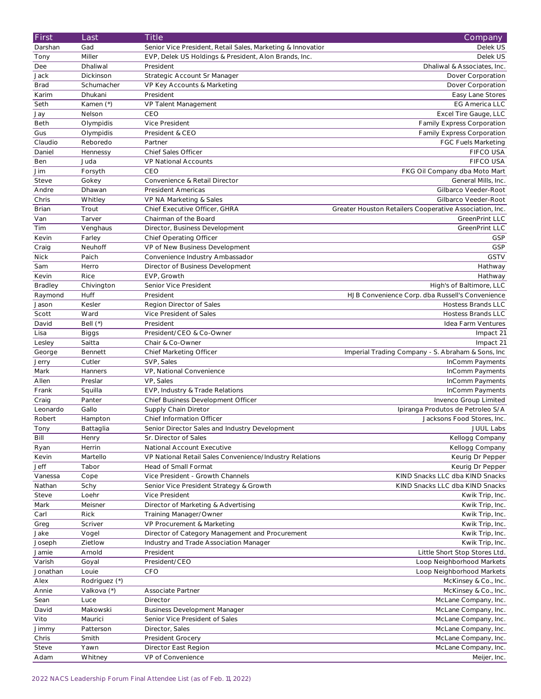| First        | Last          | <b>Title</b>                                                | Company                                                 |
|--------------|---------------|-------------------------------------------------------------|---------------------------------------------------------|
| Darshan      | Gad           | Senior Vice President, Retail Sales, Marketing & Innovatior | Delek US                                                |
| Tony         | Miller        | EVP, Delek US Holdings & President, Alon Brands, Inc.       | Delek US                                                |
| Dee          | Dhaliwal      | President                                                   | Dhaliwal & Associates, Inc.                             |
| Jack         | Dickinson     | Strategic Account Sr Manager                                | Dover Corporation                                       |
| <b>Brad</b>  | Schumacher    | VP Key Accounts & Marketing                                 | Dover Corporation                                       |
| Karim        | Dhukani       | President                                                   | Easy Lane Stores                                        |
| Seth         | Kamen (*)     | VP Talent Management                                        | <b>EG America LLC</b>                                   |
| Jay          | Nelson        | CEO                                                         | Excel Tire Gauge, LLC                                   |
| Beth         | Olympidis     | Vice President                                              | Family Express Corporation                              |
| Gus          | Olympidis     | President & CEO                                             | Family Express Corporation                              |
| Claudio      | Reboredo      | Partner                                                     | <b>FGC Fuels Marketing</b>                              |
| Daniel       |               | Chief Sales Officer                                         | FIFCO USA                                               |
|              | Hennessy      |                                                             | <b>FIFCO USA</b>                                        |
| Ben          | Juda          | VP National Accounts                                        |                                                         |
| Jim          | Forsyth       | CEO                                                         | FKG Oil Company dba Moto Mart                           |
| Steve        | Gokey         | Convenience & Retail Director                               | General Mills, Inc.                                     |
| Andre        | Dhawan        | President Americas                                          | Gilbarco Veeder-Root                                    |
| Chris        | Whitley       | VP NA Marketing & Sales                                     | Gilbarco Veeder-Root                                    |
| <b>Brian</b> | Trout         | Chief Executive Officer, GHRA                               | Greater Houston Retailers Cooperative Association, Inc. |
| Van          | Tarver        | Chairman of the Board                                       | <b>GreenPrint LLC</b>                                   |
| Tim          | Venghaus      | Director, Business Development                              | GreenPrint LLC                                          |
| Kevin        | Farley        | <b>Chief Operating Officer</b>                              | <b>GSP</b>                                              |
| Craig        | Neuhoff       | VP of New Business Development                              | <b>GSP</b>                                              |
| <b>Nick</b>  | Paich         | Convenience Industry Ambassador                             | <b>GSTV</b>                                             |
| Sam          | Herro         | Director of Business Development                            | Hathway                                                 |
| Kevin        | Rice          | EVP, Growth                                                 | Hathway                                                 |
| Bradley      | Chivington    | Senior Vice President                                       | High's of Baltimore, LLC                                |
| Raymond      | Huff          | President                                                   | HJB Convenience Corp. dba Russell's Convenience         |
| Jason        | Kesler        | Region Director of Sales                                    | Hostess Brands LLC                                      |
| Scott        | Ward          | Vice President of Sales                                     | Hostess Brands LLC                                      |
| David        | Bell $(*)$    | President                                                   | Idea Farm Ventures                                      |
| Lisa         | <b>Biggs</b>  | President/CEO & Co-Owner                                    | Impact 21                                               |
| Lesley       | Saitta        | Chair & Co-Owner                                            | Impact 21                                               |
| George       | Bennett       | Chief Marketing Officer                                     | Imperial Trading Company - S. Abraham & Sons, Inc       |
| Jerry        | Cutler        | SVP, Sales                                                  | InComm Payments                                         |
| Mark         | Hanners       | VP, National Convenience                                    | InComm Payments                                         |
| Allen        | Preslar       | VP, Sales                                                   | InComm Payments                                         |
| Frank        | Squilla       | EVP, Industry & Trade Relations                             | InComm Payments                                         |
| Craig        | Panter        | Chief Business Development Officer                          | Invenco Group Limited                                   |
| Leonardo     | Gallo         | Supply Chain Diretor                                        | Ipiranga Produtos de Petroleo S/A                       |
| Robert       | Hampton       | Chief Information Officer                                   | Jacksons Food Stores, Inc.                              |
| Tony         | Battaglia     | Senior Director Sales and Industry Development              | <b>JUUL Labs</b>                                        |
| Bill         | Henry         | Sr. Director of Sales                                       | Kellogg Company                                         |
| Ryan         | Herrin        | National Account Executive                                  | Kellogg Company                                         |
| Kevin        | Martello      | VP National Retail Sales Convenience/Industry Relations     | Keurig Dr Pepper                                        |
| Jeff         | Tabor         | Head of Small Format                                        | Keurig Dr Pepper                                        |
| Vanessa      |               | Vice President - Growth Channels                            | KIND Snacks LLC dba KIND Snacks                         |
| Nathan       | Cope<br>Schy  | Senior Vice President Strategy & Growth                     | KIND Snacks LLC dba KIND Snacks                         |
|              |               |                                                             |                                                         |
| Steve        | Loehr         | Vice President                                              | Kwik Trip, Inc.                                         |
| Mark         | Meisner       | Director of Marketing & Advertising                         | Kwik Trip, Inc.                                         |
| Carl         | Rick          | Training Manager/Owner                                      | Kwik Trip, Inc.                                         |
| Greg         | Scriver       | VP Procurement & Marketing                                  | Kwik Trip, Inc.                                         |
| Jake         | Vogel         | Director of Category Management and Procurement             | Kwik Trip, Inc.                                         |
| Joseph       | Zietlow       | Industry and Trade Association Manager                      | Kwik Trip, Inc.                                         |
| Jamie        | Arnold        | President                                                   | Little Short Stop Stores Ltd.                           |
| Varish       | Goyal         | President/CEO                                               | Loop Neighborhood Markets                               |
| Jonathan     | Louie         | CFO                                                         | Loop Neighborhood Markets                               |
| Alex         | Rodriguez (*) |                                                             | McKinsey & Co., Inc.                                    |
| Annie        | Valkova (*)   | Associate Partner                                           | McKinsey & Co., Inc.                                    |
| Sean         | Luce          | Director                                                    | McLane Company, Inc.                                    |
| David        | Makowski      | <b>Business Development Manager</b>                         | McLane Company, Inc.                                    |
| Vito         | Maurici       | Senior Vice President of Sales                              | McLane Company, Inc.                                    |
| Jimmy        | Patterson     | Director, Sales                                             | McLane Company, Inc.                                    |
| Chris        | Smith         | President Grocery                                           | McLane Company, Inc.                                    |
| Steve        | Yawn          | Director East Region                                        | McLane Company, Inc.                                    |
| Adam         | Whitney       | VP of Convenience                                           | Meijer, Inc.                                            |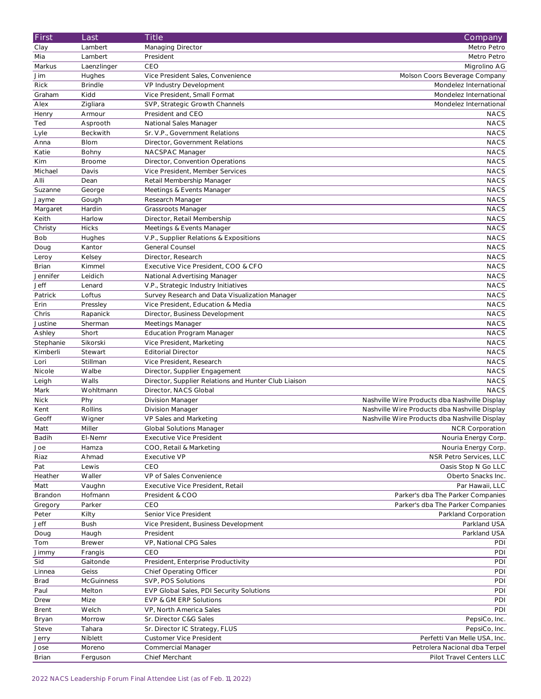| First        | Last              | <b>Title</b>                                         | Company                                       |
|--------------|-------------------|------------------------------------------------------|-----------------------------------------------|
| Clay         | Lambert           | Managing Director                                    | Metro Petro                                   |
| Mia          | Lambert           | President                                            | Metro Petro                                   |
| Markus       | Laenzlinger       | CEO                                                  | Migrolino AG                                  |
| Jim          | Hughes            | Vice President Sales, Convenience                    | Molson Coors Beverage Company                 |
| <b>Rick</b>  | <b>Brindle</b>    | VP Industry Development                              | Mondelez International                        |
| Graham       | Kidd              | Vice President, Small Format                         | Mondelez International                        |
| Alex         | Zigliara          | SVP, Strategic Growth Channels                       | Mondelez International                        |
| Henry        | Armour            | President and CEO                                    | <b>NACS</b>                                   |
| Ted          | Asprooth          | National Sales Manager                               | <b>NACS</b>                                   |
| Lyle         | Beckwith          | Sr. V.P., Government Relations                       | <b>NACS</b>                                   |
| Anna         | <b>Blom</b>       | Director, Government Relations                       | <b>NACS</b>                                   |
| Katie        | Bohny             | NACSPAC Manager                                      | <b>NACS</b>                                   |
| Kim          | <b>Broome</b>     | Director, Convention Operations                      | <b>NACS</b>                                   |
| Michael      | Davis             | Vice President, Member Services                      | <b>NACS</b>                                   |
|              |                   |                                                      |                                               |
| Alli         | Dean              | Retail Membership Manager                            | <b>NACS</b>                                   |
| Suzanne      | George            | Meetings & Events Manager                            | <b>NACS</b>                                   |
| Jayme        | Gough             | Research Manager                                     | <b>NACS</b>                                   |
| Margaret     | Hardin            | Grassroots Manager                                   | <b>NACS</b>                                   |
| Keith        | Harlow            | Director, Retail Membership                          | <b>NACS</b>                                   |
| Christy      | <b>Hicks</b>      | Meetings & Events Manager                            | <b>NACS</b>                                   |
| <b>Bob</b>   | Hughes            | V.P., Supplier Relations & Expositions               | <b>NACS</b>                                   |
| Doug         | Kantor            | <b>General Counsel</b>                               | <b>NACS</b>                                   |
| Leroy        | Kelsey            | Director, Research                                   | <b>NACS</b>                                   |
| <b>Brian</b> | Kimmel            | Executive Vice President, COO & CFO                  | <b>NACS</b>                                   |
| Jennifer     | Leidich           | National Advertising Manager                         | <b>NACS</b>                                   |
| <b>Jeff</b>  | Lenard            | V.P., Strategic Industry Initiatives                 | <b>NACS</b>                                   |
| Patrick      | Loftus            | Survey Research and Data Visualization Manager       | <b>NACS</b>                                   |
| Erin         | Pressley          | Vice President, Education & Media                    | <b>NACS</b>                                   |
| Chris        | Rapanick          | Director, Business Development                       | <b>NACS</b>                                   |
| Justine      | Sherman           | Meetings Manager                                     | <b>NACS</b>                                   |
| Ashley       | Short             | <b>Education Program Manager</b>                     | <b>NACS</b>                                   |
| Stephanie    | Sikorski          | Vice President, Marketing                            | <b>NACS</b>                                   |
| Kimberli     | Stewart           | <b>Editorial Director</b>                            | <b>NACS</b>                                   |
| Lori         | Stillman          | Vice President, Research                             | <b>NACS</b>                                   |
| Nicole       | Walbe             | Director, Supplier Engagement                        | <b>NACS</b>                                   |
| Leigh        | Walls             | Director, Supplier Relations and Hunter Club Liaison | <b>NACS</b>                                   |
| Mark         | Wohltmann         | Director, NACS Global                                | <b>NACS</b>                                   |
| <b>Nick</b>  | Phy               | Division Manager                                     | Nashville Wire Products dba Nashville Display |
| Kent         | Rollins           | Division Manager                                     | Nashville Wire Products dba Nashville Display |
| Geoff        | Wigner            | VP Sales and Marketing                               | Nashville Wire Products dba Nashville Display |
| Matt         | Miller            | <b>Global Solutions Manager</b>                      | <b>NCR Corporation</b>                        |
| Badih        | EI-Nemr           | <b>Executive Vice President</b>                      | Nouria Energy Corp.                           |
| Joe          | Hamza             | COO, Retail & Marketing                              | Nouria Energy Corp.                           |
| Riaz         | Ahmad             | Executive VP                                         | NSR Petro Services, LLC                       |
| Pat          | Lewis             | CEO                                                  | Oasis Stop N Go LLC                           |
| Heather      | Waller            | VP of Sales Convenience                              | Oberto Snacks Inc.                            |
| Matt         | Vaughn            | Executive Vice President, Retail                     | Par Hawaii, LLC                               |
| Brandon      | Hofmann           | President & COO                                      | Parker's dba The Parker Companies             |
|              |                   |                                                      |                                               |
| Gregory      | Parker            | CEO                                                  | Parker's dba The Parker Companies             |
| Peter        | Kilty             | Senior Vice President                                | Parkland Corporation                          |
| <b>Jeff</b>  | <b>Bush</b>       | Vice President, Business Development                 | Parkland USA                                  |
| Doug         | Haugh             | President                                            | Parkland USA                                  |
| Tom          | <b>Brewer</b>     | VP, National CPG Sales                               | PDI                                           |
| Jimmy        | Frangis           | CEO                                                  | PDI                                           |
| Sid          | Gaitonde          | President, Enterprise Productivity                   | PDI                                           |
| Linnea       | Geiss             | <b>Chief Operating Officer</b>                       | PDI                                           |
| <b>Brad</b>  | <b>McGuinness</b> | SVP, POS Solutions                                   | PDI                                           |
| Paul         | Melton            | EVP Global Sales, PDI Security Solutions             | PDI                                           |
| Drew         | Mize              | EVP & GM ERP Solutions                               | PDI                                           |
| <b>Brent</b> | Welch             | VP, North America Sales                              | PDI                                           |
| Bryan        | Morrow            | Sr. Director C&G Sales                               | PepsiCo, Inc.                                 |
| Steve        | Tahara            | Sr. Director IC Strategy, FLUS                       | PepsiCo, Inc.                                 |
| Jerry        | Niblett           | <b>Customer Vice President</b>                       | Perfetti Van Melle USA, Inc.                  |
| Jose         | Moreno            | Commercial Manager                                   | Petrolera Nacional dba Terpel                 |
| <b>Brian</b> | Ferguson          | Chief Merchant                                       | Pilot Travel Centers LLC                      |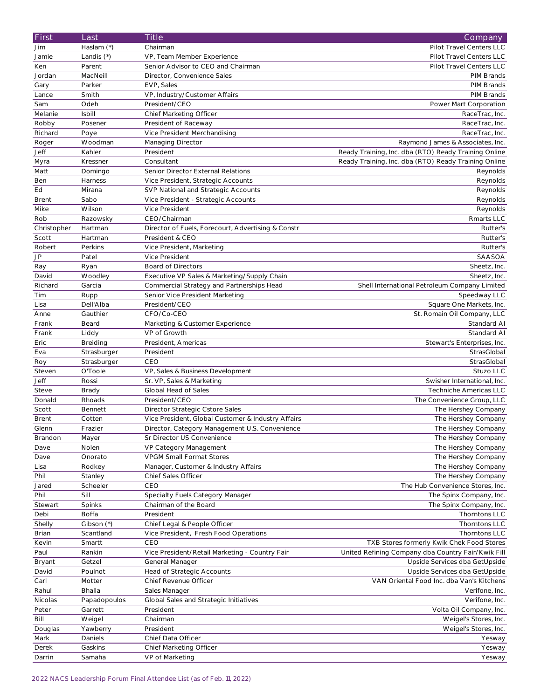| First                  | Last                    | <b>Title</b>                                                                 | Company                                                                    |
|------------------------|-------------------------|------------------------------------------------------------------------------|----------------------------------------------------------------------------|
| Jim                    | Haslam (*)              | Chairman                                                                     | Pilot Travel Centers LLC                                                   |
| Jamie                  | Landis (*)              | VP, Team Member Experience                                                   | Pilot Travel Centers LLC                                                   |
| Ken                    | Parent                  | Senior Advisor to CEO and Chairman                                           | Pilot Travel Centers LLC                                                   |
| Jordan                 | MacNeill                | Director, Convenience Sales                                                  | PIM Brands                                                                 |
| Gary                   | Parker                  | EVP, Sales                                                                   | PIM Brands                                                                 |
| Lance                  | Smith                   | VP, Industry/Customer Affairs                                                | PIM Brands                                                                 |
| Sam                    | Odeh                    | President/CEO                                                                | Power Mart Corporation                                                     |
| Melanie                | <b>Isbill</b>           |                                                                              |                                                                            |
|                        |                         | Chief Marketing Officer                                                      | RaceTrac, Inc.                                                             |
| Robby                  | Posener                 | President of Raceway                                                         | RaceTrac, Inc.                                                             |
| Richard                | Poye                    | Vice President Merchandising                                                 | RaceTrac, Inc.                                                             |
| Roger                  | Woodman                 | Managing Director                                                            | Raymond James & Associates, Inc.                                           |
| Jeff                   | Kahler                  | President                                                                    | Ready Training, Inc. dba (RTO) Ready Training Online                       |
| Myra                   | Kressner                | Consultant                                                                   | Ready Training, Inc. dba (RTO) Ready Training Online                       |
| Matt                   | Domingo                 | Senior Director External Relations                                           | Reynolds                                                                   |
| Ben                    | Harness                 | Vice President, Strategic Accounts                                           | Reynolds                                                                   |
| Ed                     | Mirana                  | SVP National and Strategic Accounts                                          | Reynolds                                                                   |
| <b>Brent</b>           | Sabo                    | Vice President - Strategic Accounts                                          | Reynolds                                                                   |
| Mike                   | Wilson                  | Vice President                                                               | Reynolds                                                                   |
| Rob                    | Razowsky                | CEO/Chairman                                                                 | Rmarts LLC                                                                 |
| Christopher            | Hartman                 | Director of Fuels, Forecourt, Advertising & Constr                           | Rutter's                                                                   |
| Scott                  | Hartman                 | President & CEO                                                              | Rutter's                                                                   |
| Robert                 | Perkins                 | Vice President, Marketing                                                    | Rutter's                                                                   |
| JP                     | Patel                   | Vice President                                                               | SAASOA                                                                     |
| Ray                    | Ryan                    | <b>Board of Directors</b>                                                    | Sheetz, Inc.                                                               |
| David                  | Woodley                 | Executive VP Sales & Marketing/Supply Chain                                  | Sheetz, Inc.                                                               |
| Richard                | Garcia                  | Commercial Strategy and Partnerships Head                                    | Shell International Petroleum Company Limited                              |
| Tim                    | Rupp                    | Senior Vice President Marketing                                              | Speedway LLC                                                               |
| Lisa                   | Dell'Alba               | President/CEO                                                                | Square One Markets, Inc.                                                   |
| Anne                   | Gauthier                | CFO/Co-CEO                                                                   | St. Romain Oil Company, LLC                                                |
| Frank                  | Beard                   | Marketing & Customer Experience                                              | Standard Al                                                                |
| Frank                  | Liddy                   | VP of Growth                                                                 | Standard Al                                                                |
| Eric                   | Breiding                | President, Americas                                                          | Stewart's Enterprises, Inc.                                                |
|                        |                         |                                                                              |                                                                            |
| Eva                    | Strasburger             | President                                                                    | StrasGlobal                                                                |
| Roy                    | Strasburger             | CEO                                                                          | StrasGlobal                                                                |
| Steven                 | O'Toole                 | VP, Sales & Business Development                                             | Stuzo LLC                                                                  |
| Jeff                   | Rossi                   | Sr. VP, Sales & Marketing                                                    | Swisher International, Inc.                                                |
| Steve                  | <b>Brady</b>            | Global Head of Sales                                                         | Techniche Americas LLC                                                     |
| Donald                 | Rhoads                  | President/CEO                                                                | The Convenience Group, LLC                                                 |
| Scott                  | Bennett                 | Director Strategic Cstore Sales                                              | The Hershey Company                                                        |
| <b>Brent</b>           | Cotten                  | Vice President, Global Customer & Industry Affairs                           | The Hershey Company                                                        |
|                        |                         |                                                                              |                                                                            |
| Glenn<br>Brandon       | Frazier<br>Mayer        | Director, Category Management U.S. Convenience<br>Sr Director US Convenience | The Hershey Company<br>The Hershey Company                                 |
| Dave                   | Nolen                   | VP Category Management                                                       | The Hershey Company                                                        |
| Dave                   | Onorato                 | <b>VPGM Small Format Stores</b>                                              |                                                                            |
|                        |                         |                                                                              | The Hershey Company                                                        |
| Lisa                   | Rodkey                  | Manager, Customer & Industry Affairs<br>Chief Sales Officer                  | The Hershey Company                                                        |
| Phil                   | Stanley<br>Scheeler     | CEO                                                                          | The Hershey Company<br>The Hub Convenience Stores, Inc.                    |
| Jared                  | Sill                    |                                                                              |                                                                            |
| Phil                   |                         | Specialty Fuels Category Manager                                             | The Spinx Company, Inc.                                                    |
| Stewart                | Spinks                  | Chairman of the Board                                                        | The Spinx Company, Inc.                                                    |
| Debi                   | <b>Boffa</b>            | President                                                                    | Thorntons LLC<br>Thorntons LLC                                             |
| Shelly<br><b>Brian</b> | Gibson (*)<br>Scantland | Chief Legal & People Officer<br>Vice President, Fresh Food Operations        | Thorntons LLC                                                              |
|                        | Smartt                  | CEO                                                                          | TXB Stores formerly Kwik Chek Food Stores                                  |
| Kevin<br>Paul          | Rankin                  |                                                                              | United Refining Company dba Country Fair/Kwik Fill                         |
|                        |                         | Vice President/Retail Marketing - Country Fair                               |                                                                            |
| Bryant                 | Getzel                  | General Manager                                                              | Upside Services dba GetUpside                                              |
| David<br>Carl          | Poulnot<br>Motter       | Head of Strategic Accounts<br>Chief Revenue Officer                          | Upside Services dba GetUpside<br>VAN Oriental Food Inc. dba Van's Kitchens |
| Rahul                  | Bhalla                  | Sales Manager                                                                |                                                                            |
| Nicolas                | Papadopoulos            | Global Sales and Strategic Initiatives                                       | Verifone, Inc.<br>Verifone, Inc.                                           |
|                        | Garrett                 | President                                                                    |                                                                            |
| Peter<br>Bill          |                         | Chairman                                                                     | Volta Oil Company, Inc.                                                    |
| Douglas                | Weigel<br>Yawberry      | President                                                                    | Weigel's Stores, Inc.<br>Weigel's Stores, Inc.                             |
| Mark                   | Daniels                 | Chief Data Officer                                                           | Yesway                                                                     |
| Derek                  | Gaskins                 | Chief Marketing Officer                                                      | Yesway                                                                     |